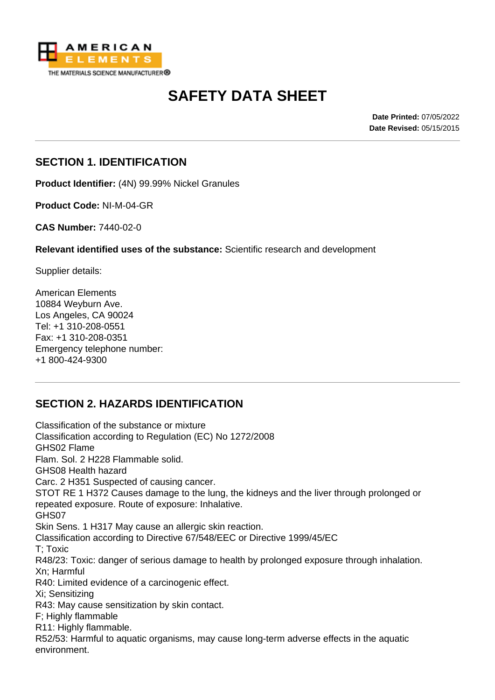

# **SAFETY DATA SHEET**

**Date Printed:** 07/05/2022 **Date Revised:** 05/15/2015

#### **SECTION 1. IDENTIFICATION**

**Product Identifier:** (4N) 99.99% Nickel Granules

**Product Code:** NI-M-04-GR

**CAS Number:** 7440-02-0

**Relevant identified uses of the substance:** Scientific research and development

Supplier details:

American Elements 10884 Weyburn Ave. Los Angeles, CA 90024 Tel: +1 310-208-0551 Fax: +1 310-208-0351 Emergency telephone number: +1 800-424-9300

# **SECTION 2. HAZARDS IDENTIFICATION**

Classification of the substance or mixture Classification according to Regulation (EC) No 1272/2008 GHS02 Flame Flam. Sol. 2 H228 Flammable solid. GHS08 Health hazard Carc. 2 H351 Suspected of causing cancer. STOT RE 1 H372 Causes damage to the lung, the kidneys and the liver through prolonged or repeated exposure. Route of exposure: Inhalative. GHS07 Skin Sens. 1 H317 May cause an allergic skin reaction. Classification according to Directive 67/548/EEC or Directive 1999/45/EC T; Toxic R48/23: Toxic: danger of serious damage to health by prolonged exposure through inhalation. Xn; Harmful R40: Limited evidence of a carcinogenic effect. Xi; Sensitizing R43: May cause sensitization by skin contact. F; Highly flammable R11: Highly flammable. R52/53: Harmful to aquatic organisms, may cause long-term adverse effects in the aquatic environment.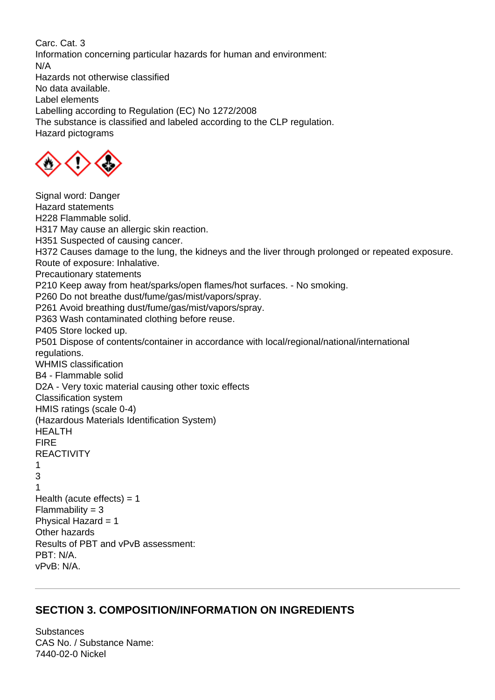Carc. Cat. 3 Information concerning particular hazards for human and environment: N/A Hazards not otherwise classified No data available. Label elements Labelling according to Regulation (EC) No 1272/2008 The substance is classified and labeled according to the CLP regulation. Hazard pictograms



Signal word: Danger Hazard statements H228 Flammable solid. H317 May cause an allergic skin reaction. H351 Suspected of causing cancer. H372 Causes damage to the lung, the kidneys and the liver through prolonged or repeated exposure. Route of exposure: Inhalative. Precautionary statements P210 Keep away from heat/sparks/open flames/hot surfaces. - No smoking. P260 Do not breathe dust/fume/gas/mist/vapors/spray. P261 Avoid breathing dust/fume/gas/mist/vapors/spray. P363 Wash contaminated clothing before reuse. P405 Store locked up. P501 Dispose of contents/container in accordance with local/regional/national/international regulations. WHMIS classification B4 - Flammable solid D2A - Very toxic material causing other toxic effects Classification system HMIS ratings (scale 0-4) (Hazardous Materials Identification System) HEALTH FIRE REACTIVITY 1 3 1 Health (acute effects)  $= 1$  $Flammability = 3$ Physical Hazard = 1 Other hazards Results of PBT and vPvB assessment: PBT: N/A. vPvB: N/A.

#### **SECTION 3. COMPOSITION/INFORMATION ON INGREDIENTS**

**Substances** CAS No. / Substance Name: 7440-02-0 Nickel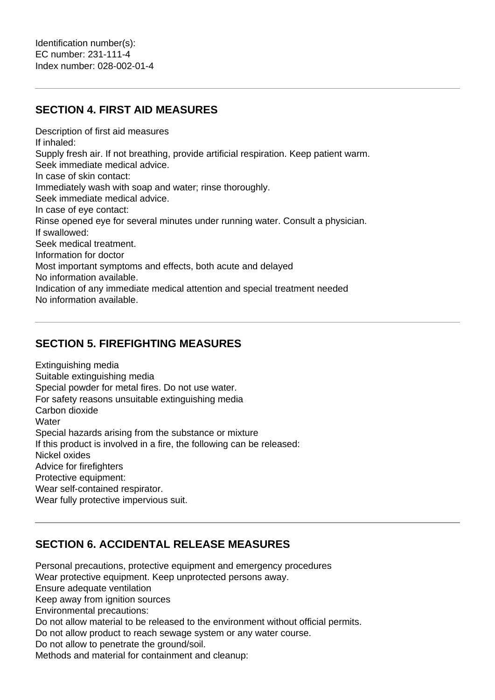#### **SECTION 4. FIRST AID MEASURES**

Description of first aid measures If inhaled: Supply fresh air. If not breathing, provide artificial respiration. Keep patient warm. Seek immediate medical advice. In case of skin contact: Immediately wash with soap and water; rinse thoroughly. Seek immediate medical advice. In case of eye contact: Rinse opened eye for several minutes under running water. Consult a physician. If swallowed: Seek medical treatment. Information for doctor Most important symptoms and effects, both acute and delayed No information available. Indication of any immediate medical attention and special treatment needed No information available.

### **SECTION 5. FIREFIGHTING MEASURES**

Extinguishing media Suitable extinguishing media Special powder for metal fires. Do not use water. For safety reasons unsuitable extinguishing media Carbon dioxide **Water** Special hazards arising from the substance or mixture If this product is involved in a fire, the following can be released: Nickel oxides Advice for firefighters Protective equipment: Wear self-contained respirator. Wear fully protective impervious suit.

#### **SECTION 6. ACCIDENTAL RELEASE MEASURES**

Personal precautions, protective equipment and emergency procedures Wear protective equipment. Keep unprotected persons away. Ensure adequate ventilation Keep away from ignition sources Environmental precautions: Do not allow material to be released to the environment without official permits. Do not allow product to reach sewage system or any water course. Do not allow to penetrate the ground/soil. Methods and material for containment and cleanup: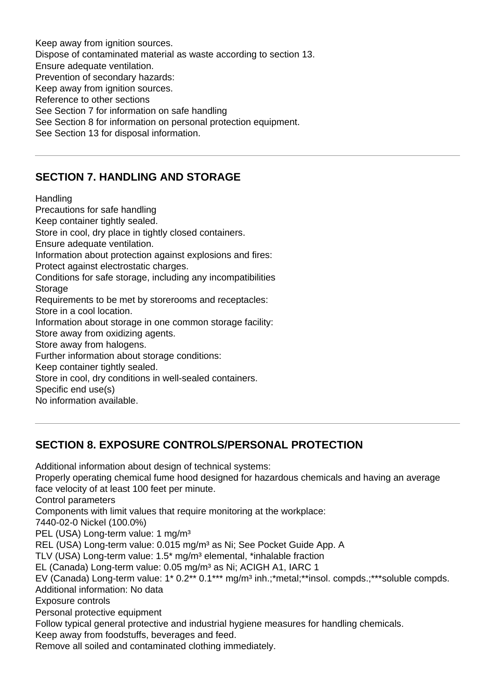Keep away from ignition sources. Dispose of contaminated material as waste according to section 13. Ensure adequate ventilation. Prevention of secondary hazards: Keep away from ignition sources. Reference to other sections See Section 7 for information on safe handling See Section 8 for information on personal protection equipment. See Section 13 for disposal information.

#### **SECTION 7. HANDLING AND STORAGE**

**Handling** 

Precautions for safe handling Keep container tightly sealed. Store in cool, dry place in tightly closed containers. Ensure adequate ventilation. Information about protection against explosions and fires: Protect against electrostatic charges. Conditions for safe storage, including any incompatibilities **Storage** Requirements to be met by storerooms and receptacles: Store in a cool location. Information about storage in one common storage facility: Store away from oxidizing agents. Store away from halogens. Further information about storage conditions: Keep container tightly sealed. Store in cool, dry conditions in well-sealed containers. Specific end use(s)

No information available.

# **SECTION 8. EXPOSURE CONTROLS/PERSONAL PROTECTION**

Additional information about design of technical systems: Properly operating chemical fume hood designed for hazardous chemicals and having an average face velocity of at least 100 feet per minute. Control parameters Components with limit values that require monitoring at the workplace: 7440-02-0 Nickel (100.0%) PEL (USA) Long-term value: 1 mg/m<sup>3</sup> REL (USA) Long-term value: 0.015 mg/m<sup>3</sup> as Ni; See Pocket Guide App. A TLV (USA) Long-term value: 1.5<sup>\*</sup> mg/m<sup>3</sup> elemental, \*inhalable fraction EL (Canada) Long-term value: 0.05 mg/m<sup>3</sup> as Ni; ACIGH A1, IARC 1 EV (Canada) Long-term value: 1\* 0.2\*\* 0.1\*\*\* mg/m<sup>3</sup> inh.;\*metal;\*\*insol. compds.;\*\*\*soluble compds. Additional information: No data Exposure controls Personal protective equipment Follow typical general protective and industrial hygiene measures for handling chemicals. Keep away from foodstuffs, beverages and feed. Remove all soiled and contaminated clothing immediately.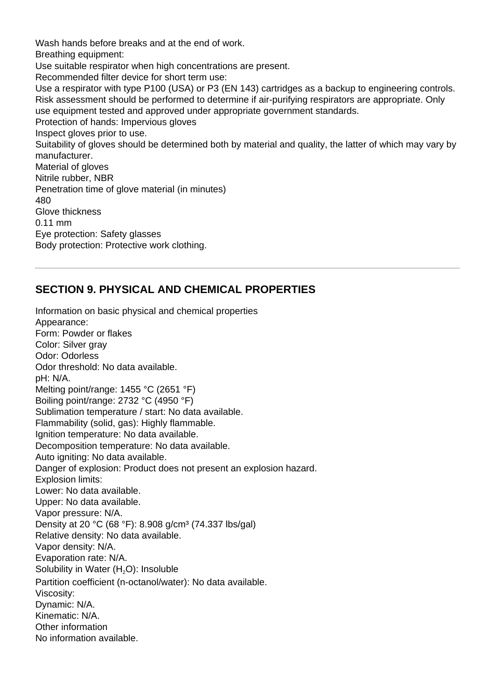Wash hands before breaks and at the end of work. Breathing equipment: Use suitable respirator when high concentrations are present. Recommended filter device for short term use: Use a respirator with type P100 (USA) or P3 (EN 143) cartridges as a backup to engineering controls. Risk assessment should be performed to determine if air-purifying respirators are appropriate. Only use equipment tested and approved under appropriate government standards. Protection of hands: Impervious gloves Inspect gloves prior to use. Suitability of gloves should be determined both by material and quality, the latter of which may vary by manufacturer. Material of gloves Nitrile rubber, NBR Penetration time of glove material (in minutes) 480 Glove thickness 0.11 mm Eye protection: Safety glasses Body protection: Protective work clothing.

#### **SECTION 9. PHYSICAL AND CHEMICAL PROPERTIES**

Information on basic physical and chemical properties Appearance: Form: Powder or flakes Color: Silver grav Odor: Odorless Odor threshold: No data available. pH: N/A. Melting point/range: 1455 °C (2651 °F) Boiling point/range: 2732 °C (4950 °F) Sublimation temperature / start: No data available. Flammability (solid, gas): Highly flammable. Ignition temperature: No data available. Decomposition temperature: No data available. Auto igniting: No data available. Danger of explosion: Product does not present an explosion hazard. Explosion limits: Lower: No data available. Upper: No data available. Vapor pressure: N/A. Density at 20 °C (68 °F): 8.908 g/cm<sup>3</sup> (74.337 lbs/gal) Relative density: No data available. Vapor density: N/A. Evaporation rate: N/A. Solubility in Water (H<sub>2</sub>O): Insoluble Partition coefficient (n-octanol/water): No data available. Viscosity: Dynamic: N/A. Kinematic: N/A. Other information No information available.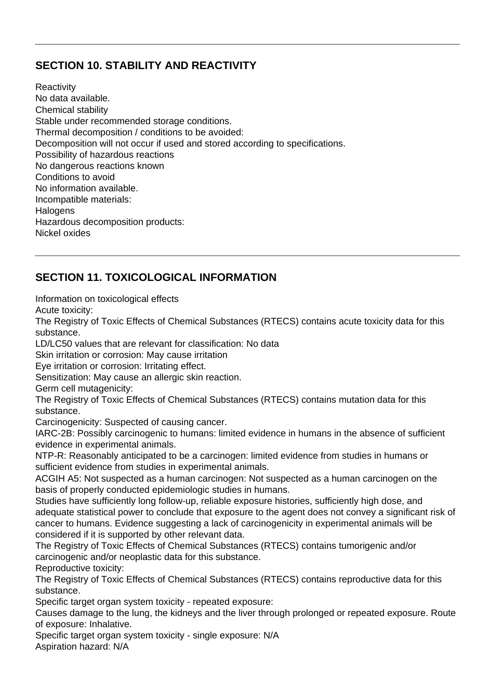# **SECTION 10. STABILITY AND REACTIVITY**

**Reactivity** No data available. Chemical stability Stable under recommended storage conditions. Thermal decomposition / conditions to be avoided: Decomposition will not occur if used and stored according to specifications. Possibility of hazardous reactions No dangerous reactions known Conditions to avoid No information available. Incompatible materials: **Halogens** Hazardous decomposition products: Nickel oxides

# **SECTION 11. TOXICOLOGICAL INFORMATION**

Information on toxicological effects

Acute toxicity:

The Registry of Toxic Effects of Chemical Substances (RTECS) contains acute toxicity data for this substance.

LD/LC50 values that are relevant for classification: No data

Skin irritation or corrosion: May cause irritation

Eye irritation or corrosion: Irritating effect.

Sensitization: May cause an allergic skin reaction.

Germ cell mutagenicity:

The Registry of Toxic Effects of Chemical Substances (RTECS) contains mutation data for this substance.

Carcinogenicity: Suspected of causing cancer.

IARC-2B: Possibly carcinogenic to humans: limited evidence in humans in the absence of sufficient evidence in experimental animals.

NTP-R: Reasonably anticipated to be a carcinogen: limited evidence from studies in humans or sufficient evidence from studies in experimental animals.

ACGIH A5: Not suspected as a human carcinogen: Not suspected as a human carcinogen on the basis of properly conducted epidemiologic studies in humans.

Studies have sufficiently long follow-up, reliable exposure histories, sufficiently high dose, and adequate statistical power to conclude that exposure to the agent does not convey a significant risk of cancer to humans. Evidence suggesting a lack of carcinogenicity in experimental animals will be considered if it is supported by other relevant data.

The Registry of Toxic Effects of Chemical Substances (RTECS) contains tumorigenic and/or carcinogenic and/or neoplastic data for this substance.

Reproductive toxicity:

The Registry of Toxic Effects of Chemical Substances (RTECS) contains reproductive data for this substance.

Specific target organ system toxicity - repeated exposure:

Causes damage to the lung, the kidneys and the liver through prolonged or repeated exposure. Route of exposure: Inhalative.

Specific target organ system toxicity - single exposure: N/A

Aspiration hazard: N/A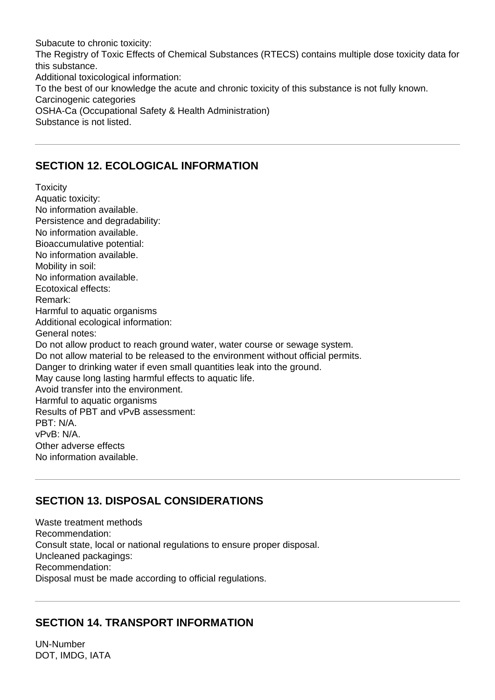Subacute to chronic toxicity: The Registry of Toxic Effects of Chemical Substances (RTECS) contains multiple dose toxicity data for this substance. Additional toxicological information: To the best of our knowledge the acute and chronic toxicity of this substance is not fully known. Carcinogenic categories OSHA-Ca (Occupational Safety & Health Administration) Substance is not listed.

#### **SECTION 12. ECOLOGICAL INFORMATION**

**Toxicity** Aquatic toxicity: No information available. Persistence and degradability: No information available. Bioaccumulative potential: No information available. Mobility in soil: No information available. Ecotoxical effects: Remark: Harmful to aquatic organisms Additional ecological information: General notes: Do not allow product to reach ground water, water course or sewage system. Do not allow material to be released to the environment without official permits. Danger to drinking water if even small quantities leak into the ground. May cause long lasting harmful effects to aquatic life. Avoid transfer into the environment. Harmful to aquatic organisms Results of PBT and vPvB assessment: PBT: N/A. vPvB: N/A. Other adverse effects No information available.

# **SECTION 13. DISPOSAL CONSIDERATIONS**

Waste treatment methods Recommendation: Consult state, local or national regulations to ensure proper disposal. Uncleaned packagings: Recommendation: Disposal must be made according to official regulations.

# **SECTION 14. TRANSPORT INFORMATION**

UN-Number DOT, IMDG, IATA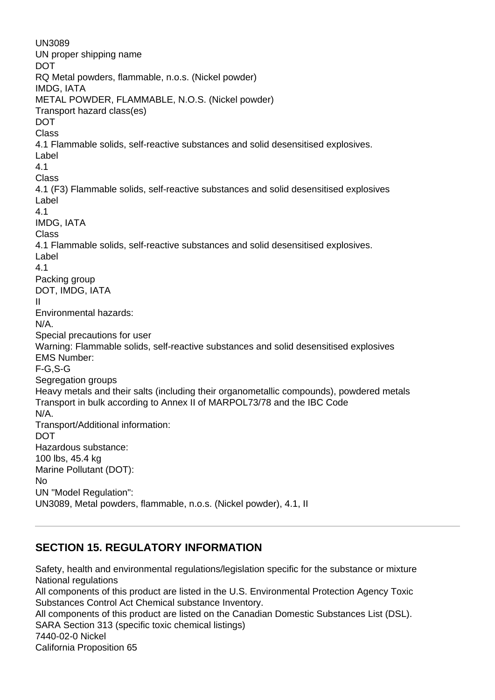UN3089 UN proper shipping name DOT RQ Metal powders, flammable, n.o.s. (Nickel powder) IMDG, IATA METAL POWDER, FLAMMABLE, N.O.S. (Nickel powder) Transport hazard class(es) DOT Class 4.1 Flammable solids, self-reactive substances and solid desensitised explosives. Label 4.1 Class 4.1 (F3) Flammable solids, self-reactive substances and solid desensitised explosives Label 4.1 IMDG, IATA Class 4.1 Flammable solids, self-reactive substances and solid desensitised explosives. Label 4.1 Packing group DOT, IMDG, IATA II Environmental hazards: N/A. Special precautions for user Warning: Flammable solids, self-reactive substances and solid desensitised explosives EMS Number: F-G,S-G Segregation groups Heavy metals and their salts (including their organometallic compounds), powdered metals Transport in bulk according to Annex II of MARPOL73/78 and the IBC Code N/A. Transport/Additional information: **DOT** Hazardous substance: 100 lbs, 45.4 kg Marine Pollutant (DOT): No UN "Model Regulation": UN3089, Metal powders, flammable, n.o.s. (Nickel powder), 4.1, II

#### **SECTION 15. REGULATORY INFORMATION**

Safety, health and environmental regulations/legislation specific for the substance or mixture National regulations All components of this product are listed in the U.S. Environmental Protection Agency Toxic Substances Control Act Chemical substance Inventory. All components of this product are listed on the Canadian Domestic Substances List (DSL). SARA Section 313 (specific toxic chemical listings) 7440-02-0 Nickel California Proposition 65